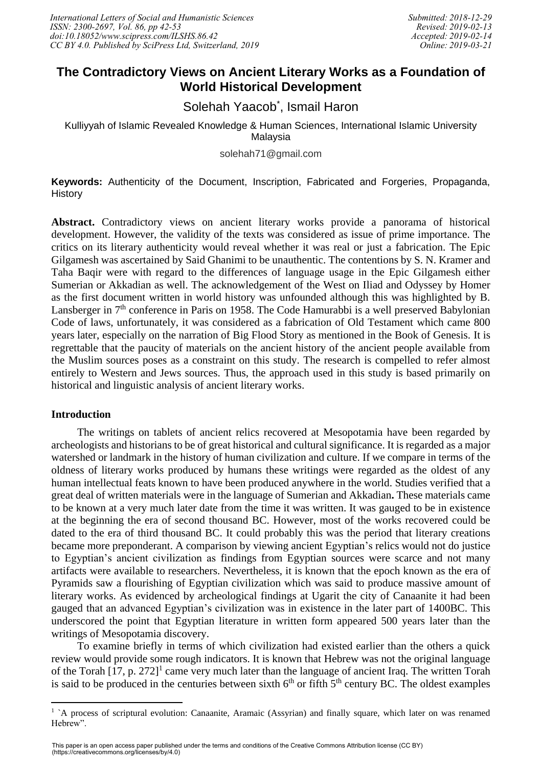# **The Contradictory Views on Ancient Literary Works as a Foundation of World Historical Development**

Solehah Yaacob<sup>\*</sup>, Ismail Haron

Kulliyyah of Islamic Revealed Knowledge & Human Sciences, International Islamic University Malaysia

solehah71@gmail.com

**Keywords:** Authenticity of the Document, Inscription, Fabricated and Forgeries, Propaganda, **History** 

**Abstract.** Contradictory views on ancient literary works provide a panorama of historical development. However, the validity of the texts was considered as issue of prime importance. The critics on its literary authenticity would reveal whether it was real or just a fabrication. The Epic Gilgamesh was ascertained by Said Ghanimi to be unauthentic. The contentions by S. N. Kramer and Taha Baqir were with regard to the differences of language usage in the Epic Gilgamesh either Sumerian or Akkadian as well. The acknowledgement of the West on Iliad and Odyssey by Homer as the first document written in world history was unfounded although this was highlighted by B. Lansberger in 7<sup>th</sup> conference in Paris on 1958. The Code Hamurabbi is a well preserved Babylonian Code of laws, unfortunately, it was considered as a fabrication of Old Testament which came 800 years later, especially on the narration of Big Flood Story as mentioned in the Book of Genesis. It is regrettable that the paucity of materials on the ancient history of the ancient people available from the Muslim sources poses as a constraint on this study. The research is compelled to refer almost entirely to Western and Jews sources. Thus, the approach used in this study is based primarily on historical and linguistic analysis of ancient literary works.

## **Introduction**

 $\overline{\phantom{a}}$ 

The writings on tablets of ancient relics recovered at Mesopotamia have been regarded by archeologists and historians to be of great historical and cultural significance. It is regarded as a major watershed or landmark in the history of human civilization and culture. If we compare in terms of the oldness of literary works produced by humans these writings were regarded as the oldest of any human intellectual feats known to have been produced anywhere in the world. Studies verified that a great deal of written materials were in the language of Sumerian and Akkadian**.** These materials came to be known at a very much later date from the time it was written. It was gauged to be in existence at the beginning the era of second thousand BC. However, most of the works recovered could be dated to the era of third thousand BC. It could probably this was the period that literary creations became more preponderant. A comparison by viewing ancient Egyptian's relics would not do justice to Egyptian's ancient civilization as findings from Egyptian sources were scarce and not many artifacts were available to researchers. Nevertheless, it is known that the epoch known as the era of Pyramids saw a flourishing of Egyptian civilization which was said to produce massive amount of literary works. As evidenced by archeological findings at Ugarit the city of Canaanite it had been gauged that an advanced Egyptian's civilization was in existence in the later part of 1400BC. This underscored the point that Egyptian literature in written form appeared 500 years later than the writings of Mesopotamia discovery.

To examine briefly in terms of which civilization had existed earlier than the others a quick review would provide some rough indicators. It is known that Hebrew was not the original language of the Torah [17, p. 272]<sup>1</sup> came very much later than the language of ancient Iraq. The written Torah is said to be produced in the centuries between sixth  $6<sup>th</sup>$  or fifth  $5<sup>th</sup>$  century BC. The oldest examples

<sup>&</sup>lt;sup>1</sup> `A process of scriptural evolution: Canaanite, Aramaic (Assyrian) and finally square, which later on was renamed Hebrew".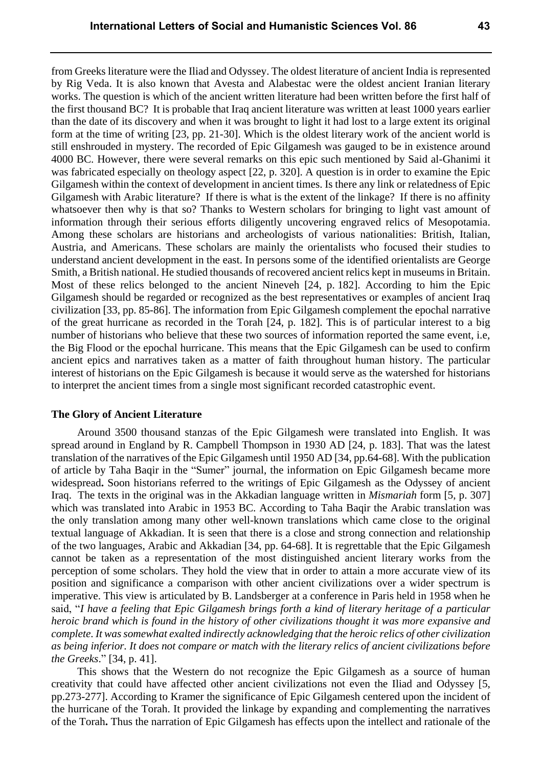from Greeks literature were the Iliad and Odyssey. The oldest literature of ancient India is represented by Rig Veda. It is also known that Avesta and Alabestac were the oldest ancient Iranian literary works. The question is which of the ancient written literature had been written before the first half of the first thousand BC? It is probable that Iraq ancient literature was written at least 1000 years earlier than the date of its discovery and when it was brought to light it had lost to a large extent its original form at the time of writing [23, pp. 21-30]. Which is the oldest literary work of the ancient world is still enshrouded in mystery. The recorded of Epic Gilgamesh was gauged to be in existence around 4000 BC. However, there were several remarks on this epic such mentioned by Said al-Ghanimi it was fabricated especially on theology aspect [22, p. 320]. A question is in order to examine the Epic Gilgamesh within the context of development in ancient times. Is there any link or relatedness of Epic Gilgamesh with Arabic literature? If there is what is the extent of the linkage? If there is no affinity whatsoever then why is that so? Thanks to Western scholars for bringing to light vast amount of information through their serious efforts diligently uncovering engraved relics of Mesopotamia. Among these scholars are historians and archeologists of various nationalities: British, Italian, Austria, and Americans. These scholars are mainly the orientalists who focused their studies to understand ancient development in the east. In persons some of the identified orientalists are George Smith, a British national. He studied thousands of recovered ancient relics kept in museums in Britain. Most of these relics belonged to the ancient Nineveh [24, p. 182]. According to him the Epic Gilgamesh should be regarded or recognized as the best representatives or examples of ancient Iraq civilization [33, pp. 85-86]. The information from Epic Gilgamesh complement the epochal narrative of the great hurricane as recorded in the Torah [24, p. 182]. This is of particular interest to a big number of historians who believe that these two sources of information reported the same event, i.e, the Big Flood or the epochal hurricane. This means that the Epic Gilgamesh can be used to confirm ancient epics and narratives taken as a matter of faith throughout human history. The particular interest of historians on the Epic Gilgamesh is because it would serve as the watershed for historians to interpret the ancient times from a single most significant recorded catastrophic event.

#### **The Glory of Ancient Literature**

Around 3500 thousand stanzas of the Epic Gilgamesh were translated into English. It was spread around in England by R. Campbell Thompson in 1930 AD [24, p. 183]. That was the latest translation of the narratives of the Epic Gilgamesh until 1950 AD [34, pp.64-68]. With the publication of article by Taha Baqir in the "Sumer" journal, the information on Epic Gilgamesh became more widespread**.** Soon historians referred to the writings of Epic Gilgamesh as the Odyssey of ancient Iraq. The texts in the original was in the Akkadian language written in *Mismariah* form [5, p. 307] which was translated into Arabic in 1953 BC. According to Taha Baqir the Arabic translation was the only translation among many other well-known translations which came close to the original textual language of Akkadian. It is seen that there is a close and strong connection and relationship of the two languages, Arabic and Akkadian [34, pp. 64-68]. It is regrettable that the Epic Gilgamesh cannot be taken as a representation of the most distinguished ancient literary works from the perception of some scholars. They hold the view that in order to attain a more accurate view of its position and significance a comparison with other ancient civilizations over a wider spectrum is imperative. This view is articulated by B. Landsberger at a conference in Paris held in 1958 when he said, "*I have a feeling that Epic Gilgamesh brings forth a kind of literary heritage of a particular heroic brand which is found in the history of other civilizations thought it was more expansive and complete. It was somewhat exalted indirectly acknowledging that the heroic relics of other civilization as being inferior. It does not compare or match with the literary relics of ancient civilizations before the Greeks*." [34, p. 41].

This shows that the Western do not recognize the Epic Gilgamesh as a source of human creativity that could have affected other ancient civilizations not even the Iliad and Odyssey [5, pp.273-277]. According to Kramer the significance of Epic Gilgamesh centered upon the incident of the hurricane of the Torah. It provided the linkage by expanding and complementing the narratives of the Torah**.** Thus the narration of Epic Gilgamesh has effects upon the intellect and rationale of the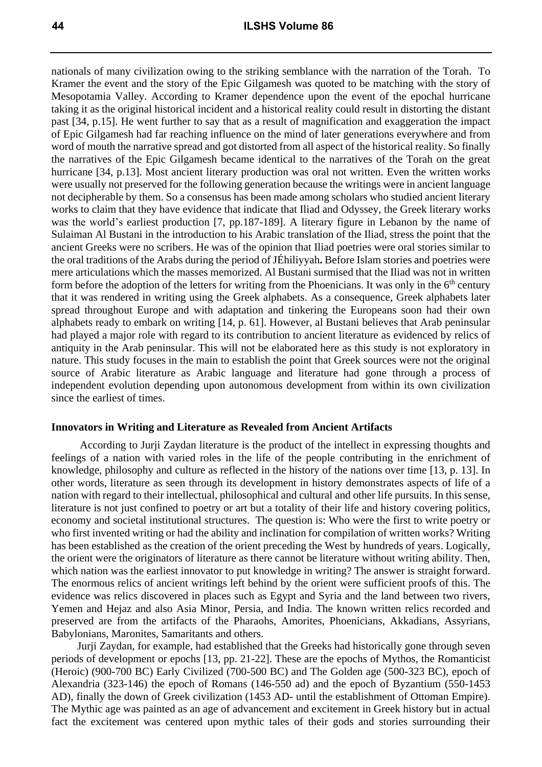nationals of many civilization owing to the striking semblance with the narration of the Torah. To Kramer the event and the story of the Epic Gilgamesh was quoted to be matching with the story of Mesopotamia Valley. According to Kramer dependence upon the event of the epochal hurricane taking it as the original historical incident and a historical reality could result in distorting the distant past [34, p.15]. He went further to say that as a result of magnification and exaggeration the impact of Epic Gilgamesh had far reaching influence on the mind of later generations everywhere and from word of mouth the narrative spread and got distorted from all aspect of the historical reality. So finally the narratives of the Epic Gilgamesh became identical to the narratives of the Torah on the great hurricane [34, p.13]. Most ancient literary production was oral not written. Even the written works were usually not preserved for the following generation because the writings were in ancient language not decipherable by them. So a consensus has been made among scholars who studied ancient literary works to claim that they have evidence that indicate that Iliad and Odyssey, the Greek literary works was the world's earliest production [7, pp.187-189]. A literary figure in Lebanon by the name of Sulaiman Al Bustani in the introduction to his Arabic translation of the Iliad, stress the point that the ancient Greeks were no scribers. He was of the opinion that Iliad poetries were oral stories similar to the oral traditions of the Arabs during the period of JÉhiliyyah**.** Before Islam stories and poetries were mere articulations which the masses memorized. Al Bustani surmised that the Iliad was not in written form before the adoption of the letters for writing from the Phoenicians. It was only in the  $6<sup>th</sup>$  century that it was rendered in writing using the Greek alphabets. As a consequence, Greek alphabets later spread throughout Europe and with adaptation and tinkering the Europeans soon had their own alphabets ready to embark on writing [14, p. 61]. However, al Bustani believes that Arab peninsular had played a major role with regard to its contribution to ancient literature as evidenced by relics of antiquity in the Arab peninsular. This will not be elaborated here as this study is not exploratory in nature. This study focuses in the main to establish the point that Greek sources were not the original source of Arabic literature as Arabic language and literature had gone through a process of independent evolution depending upon autonomous development from within its own civilization since the earliest of times.

### **Innovators in Writing and Literature as Revealed from Ancient Artifacts**

According to Jurji Zaydan literature is the product of the intellect in expressing thoughts and feelings of a nation with varied roles in the life of the people contributing in the enrichment of knowledge, philosophy and culture as reflected in the history of the nations over time [13, p. 13]. In other words, literature as seen through its development in history demonstrates aspects of life of a nation with regard to their intellectual, philosophical and cultural and other life pursuits. In this sense, literature is not just confined to poetry or art but a totality of their life and history covering politics, economy and societal institutional structures. The question is: Who were the first to write poetry or who first invented writing or had the ability and inclination for compilation of written works? Writing has been established as the creation of the orient preceding the West by hundreds of years. Logically, the orient were the originators of literature as there cannot be literature without writing ability. Then, which nation was the earliest innovator to put knowledge in writing? The answer is straight forward. The enormous relics of ancient writings left behind by the orient were sufficient proofs of this. The evidence was relics discovered in places such as Egypt and Syria and the land between two rivers, Yemen and Hejaz and also Asia Minor, Persia, and India. The known written relics recorded and preserved are from the artifacts of the Pharaohs, Amorites, Phoenicians, Akkadians, Assyrians, Babylonians, Maronites, Samaritants and others.

Jurji Zaydan, for example, had established that the Greeks had historically gone through seven periods of development or epochs [13, pp. 21-22]. These are the epochs of Mythos, the Romanticist (Heroic) (900-700 BC) Early Civilized (700-500 BC) and The Golden age (500-323 BC), epoch of Alexandria (323-146) the epoch of Romans (146-550 ad) and the epoch of Byzantium (550-1453 AD), finally the down of Greek civilization (1453 AD- until the establishment of Ottoman Empire). The Mythic age was painted as an age of advancement and excitement in Greek history but in actual fact the excitement was centered upon mythic tales of their gods and stories surrounding their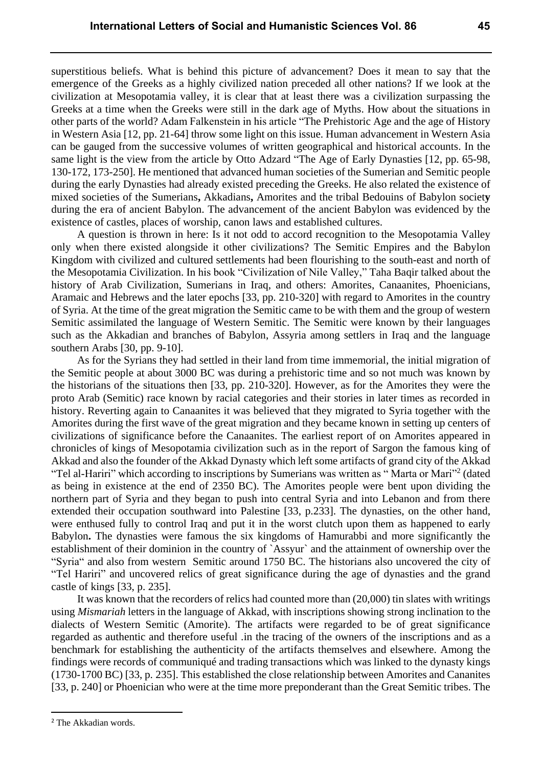superstitious beliefs. What is behind this picture of advancement? Does it mean to say that the emergence of the Greeks as a highly civilized nation preceded all other nations? If we look at the civilization at Mesopotamia valley, it is clear that at least there was a civilization surpassing the Greeks at a time when the Greeks were still in the dark age of Myths. How about the situations in other parts of the world? Adam Falkenstein in his article "The Prehistoric Age and the age of History in Western Asia [12, pp. 21-64] throw some light on this issue. Human advancement in Western Asia can be gauged from the successive volumes of written geographical and historical accounts. In the same light is the view from the article by Otto Adzard "The Age of Early Dynasties [12, pp. 65-98, 130-172, 173-250]. He mentioned that advanced human societies of the Sumerian and Semitic people during the early Dynasties had already existed preceding the Greeks. He also related the existence of mixed societies of the Sumerians**,** Akkadians**,** Amorites and the tribal Bedouins of Babylon societ**y**  during the era of ancient Babylon. The advancement of the ancient Babylon was evidenced by the existence of castles, places of worship, canon laws and established cultures.

A question is thrown in here: Is it not odd to accord recognition to the Mesopotamia Valley only when there existed alongside it other civilizations? The Semitic Empires and the Babylon Kingdom with civilized and cultured settlements had been flourishing to the south-east and north of the Mesopotamia Civilization. In his book "Civilization of Nile Valley," Taha Baqir talked about the history of Arab Civilization, Sumerians in Iraq, and others: Amorites, Canaanites, Phoenicians, Aramaic and Hebrews and the later epochs [33, pp. 210-320] with regard to Amorites in the country of Syria. At the time of the great migration the Semitic came to be with them and the group of western Semitic assimilated the language of Western Semitic. The Semitic were known by their languages such as the Akkadian and branches of Babylon, Assyria among settlers in Iraq and the language southern Arabs [30, pp. 9-10].

As for the Syrians they had settled in their land from time immemorial, the initial migration of the Semitic people at about 3000 BC was during a prehistoric time and so not much was known by the historians of the situations then [33, pp. 210-320]. However, as for the Amorites they were the proto Arab (Semitic) race known by racial categories and their stories in later times as recorded in history. Reverting again to Canaanites it was believed that they migrated to Syria together with the Amorites during the first wave of the great migration and they became known in setting up centers of civilizations of significance before the Canaanites. The earliest report of on Amorites appeared in chronicles of kings of Mesopotamia civilization such as in the report of Sargon the famous king of Akkad and also the founder of the Akkad Dynasty which left some artifacts of grand city of the Akkad "Tel al-Hariri" which according to inscriptions by Sumerians was written as "Marta or Mari"<sup>2</sup> (dated as being in existence at the end of 2350 BC). The Amorites people were bent upon dividing the northern part of Syria and they began to push into central Syria and into Lebanon and from there extended their occupation southward into Palestine [33, p.233]. The dynasties, on the other hand, were enthused fully to control Iraq and put it in the worst clutch upon them as happened to early Babylon**.** The dynasties were famous the six kingdoms of Hamurabbi and more significantly the establishment of their dominion in the country of `Assyur` and the attainment of ownership over the "Syria" and also from western Semitic around 1750 BC. The historians also uncovered the city of "Tel Hariri" and uncovered relics of great significance during the age of dynasties and the grand castle of kings [33, p. 235].

It was known that the recorders of relics had counted more than (20,000) tin slates with writings using *Mismariah* letters in the language of Akkad, with inscriptions showing strong inclination to the dialects of Western Semitic (Amorite). The artifacts were regarded to be of great significance regarded as authentic and therefore useful .in the tracing of the owners of the inscriptions and as a benchmark for establishing the authenticity of the artifacts themselves and elsewhere. Among the findings were records of communiqué and trading transactions which was linked to the dynasty kings (1730-1700 BC) [33, p. 235]. This established the close relationship between Amorites and Cananites [33, p. 240] or Phoenician who were at the time more preponderant than the Great Semitic tribes. The

 $\overline{\phantom{a}}$ 

<sup>2</sup> The Akkadian words.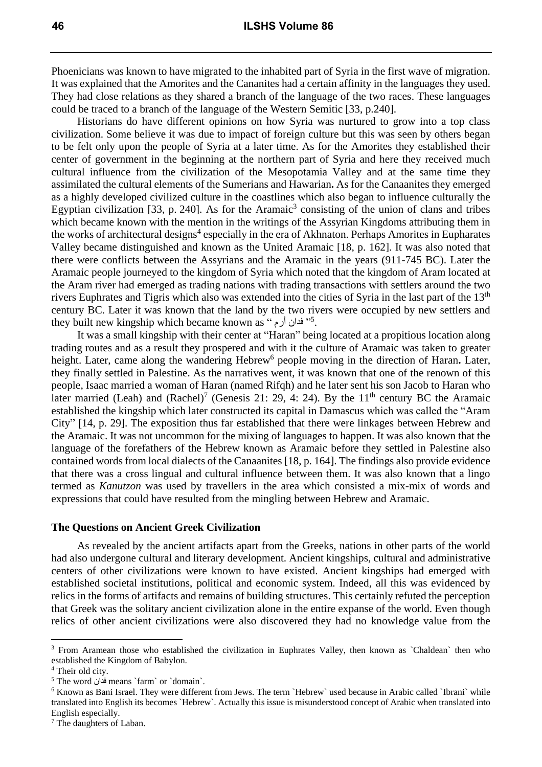Phoenicians was known to have migrated to the inhabited part of Syria in the first wave of migration. It was explained that the Amorites and the Cananites had a certain affinity in the languages they used. They had close relations as they shared a branch of the language of the two races. These languages could be traced to a branch of the language of the Western Semitic [33, p.240].

Historians do have different opinions on how Syria was nurtured to grow into a top class civilization. Some believe it was due to impact of foreign culture but this was seen by others began to be felt only upon the people of Syria at a later time. As for the Amorites they established their center of government in the beginning at the northern part of Syria and here they received much cultural influence from the civilization of the Mesopotamia Valley and at the same time they assimilated the cultural elements of the Sumerians and Hawarian**.** As for the Canaanites they emerged as a highly developed civilized culture in the coastlines which also began to influence culturally the Egyptian civilization [33, p. 240]. As for the Aramaic<sup>3</sup> consisting of the union of clans and tribes which became known with the mention in the writings of the Assyrian Kingdoms attributing them in the works of architectural designs<sup>4</sup> especially in the era of Akhnaton. Perhaps Amorites in Eupharates Valley became distinguished and known as the United Aramaic [18, p. 162]. It was also noted that there were conflicts between the Assyrians and the Aramaic in the years (911-745 BC). Later the Aramaic people journeyed to the kingdom of Syria which noted that the kingdom of Aram located at the Aram river had emerged as trading nations with trading transactions with settlers around the two rivers Euphrates and Tigris which also was extended into the cities of Syria in the last part of the 13<sup>th</sup> century BC. Later it was known that the land by the two rivers were occupied by new settlers and they built new kingship which became known as " فدان أرم ".

It was a small kingship with their center at "Haran" being located at a propitious location along trading routes and as a result they prospered and with it the culture of Aramaic was taken to greater height. Later, came along the wandering Hebrew<sup>6</sup> people moving in the direction of Haran. Later, they finally settled in Palestine. As the narratives went, it was known that one of the renown of this people, Isaac married a woman of Haran (named Rifqh) and he later sent his son Jacob to Haran who later married (Leah) and  $(Rachel)<sup>7</sup>$  (Genesis 21: 29, 4: 24). By the 11<sup>th</sup> century BC the Aramaic established the kingship which later constructed its capital in Damascus which was called the "Aram City" [14, p. 29]. The exposition thus far established that there were linkages between Hebrew and the Aramaic. It was not uncommon for the mixing of languages to happen. It was also known that the language of the forefathers of the Hebrew known as Aramaic before they settled in Palestine also contained words from local dialects of the Canaanites [18, p. 164]. The findings also provide evidence that there was a cross lingual and cultural influence between them. It was also known that a lingo termed as *Kanutzon* was used by travellers in the area which consisted a mix-mix of words and expressions that could have resulted from the mingling between Hebrew and Aramaic.

#### **The Questions on Ancient Greek Civilization**

As revealed by the ancient artifacts apart from the Greeks, nations in other parts of the world had also undergone cultural and literary development. Ancient kingships, cultural and administrative centers of other civilizations were known to have existed. Ancient kingships had emerged with established societal institutions, political and economic system. Indeed, all this was evidenced by relics in the forms of artifacts and remains of building structures. This certainly refuted the perception that Greek was the solitary ancient civilization alone in the entire expanse of the world. Even though relics of other ancient civilizations were also discovered they had no knowledge value from the

 $\overline{\phantom{a}}$ 

<sup>&</sup>lt;sup>3</sup> From Aramean those who established the civilization in Euphrates Valley, then known as `Chaldean` then who established the Kingdom of Babylon.

<sup>4</sup> Their old city.

<sup>5</sup> The word فدان means `farm` or `domain`.

<sup>6</sup> Known as Bani Israel. They were different from Jews. The term `Hebrew` used because in Arabic called `Ibrani` while translated into English its becomes `Hebrew`. Actually this issue is misunderstood concept of Arabic when translated into English especially.

<sup>7</sup> The daughters of Laban.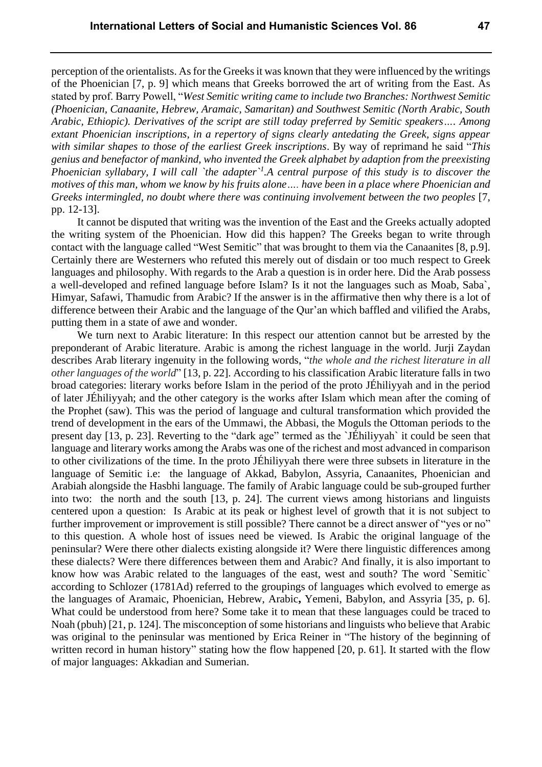perception of the orientalists. As for the Greeksit was known that they were influenced by the writings of the Phoenician [7, p. 9] which means that Greeks borrowed the art of writing from the East. As stated by prof. Barry Powell, "*West Semitic writing came to include two Branches: Northwest Semitic (Phoenician, Canaanite, Hebrew, Aramaic, Samaritan) and Southwest Semitic (North Arabic, South Arabic, Ethiopic). Derivatives of the script are still today preferred by Semitic speakers…. Among extant Phoenician inscriptions, in a repertory of signs clearly antedating the Greek, signs appear with similar shapes to those of the earliest Greek inscriptions*. By way of reprimand he said "*This genius and benefactor of mankind, who invented the Greek alphabet by adaption from the preexisting Phoenician syllabary, I will call `the adapter`<sup>1</sup> .A central purpose of this study is to discover the motives of this man, whom we know by his fruits alone…. have been in a place where Phoenician and Greeks intermingled, no doubt where there was continuing involvement between the two peoples* [7, pp. 12-13].

It cannot be disputed that writing was the invention of the East and the Greeks actually adopted the writing system of the Phoenician. How did this happen? The Greeks began to write through contact with the language called "West Semitic" that was brought to them via the Canaanites [8, p.9]. Certainly there are Westerners who refuted this merely out of disdain or too much respect to Greek languages and philosophy. With regards to the Arab a question is in order here. Did the Arab possess a well-developed and refined language before Islam? Is it not the languages such as Moab, Saba`, Himyar, Safawi, Thamudic from Arabic? If the answer is in the affirmative then why there is a lot of difference between their Arabic and the language of the Qur'an which baffled and vilified the Arabs, putting them in a state of awe and wonder.

We turn next to Arabic literature: In this respect our attention cannot but be arrested by the preponderant of Arabic literature. Arabic is among the richest language in the world. Jurji Zaydan describes Arab literary ingenuity in the following words, "*the whole and the richest literature in all other languages of the world*" [13, p. 22]. According to his classification Arabic literature falls in two broad categories: literary works before Islam in the period of the proto JÉhiliyyah and in the period of later JÉhiliyyah; and the other category is the works after Islam which mean after the coming of the Prophet (saw). This was the period of language and cultural transformation which provided the trend of development in the ears of the Ummawi, the Abbasi, the Moguls the Ottoman periods to the present day [13, p. 23]. Reverting to the "dark age" termed as the `JÉhiliyyah` it could be seen that language and literary works among the Arabs was one of the richest and most advanced in comparison to other civilizations of the time. In the proto JÉhiliyyah there were three subsets in literature in the language of Semitic i.e: the language of Akkad, Babylon, Assyria, Canaanites, Phoenician and Arabiah alongside the Hasbhi language. The family of Arabic language could be sub-grouped further into two: the north and the south [13, p. 24]. The current views among historians and linguists centered upon a question: Is Arabic at its peak or highest level of growth that it is not subject to further improvement or improvement is still possible? There cannot be a direct answer of "yes or no" to this question. A whole host of issues need be viewed. Is Arabic the original language of the peninsular? Were there other dialects existing alongside it? Were there linguistic differences among these dialects? Were there differences between them and Arabic? And finally, it is also important to know how was Arabic related to the languages of the east, west and south? The word `Semitic` according to Schlozer (1781Ad) referred to the groupings of languages which evolved to emerge as the languages of Aramaic, Phoenician, Hebrew, Arabic**,** Yemeni, Babylon, and Assyria [35, p. 6]. What could be understood from here? Some take it to mean that these languages could be traced to Noah (pbuh) [21, p. 124]. The misconception of some historians and linguists who believe that Arabic was original to the peninsular was mentioned by Erica Reiner in "The history of the beginning of written record in human history" stating how the flow happened [20, p. 61]. It started with the flow of major languages: Akkadian and Sumerian.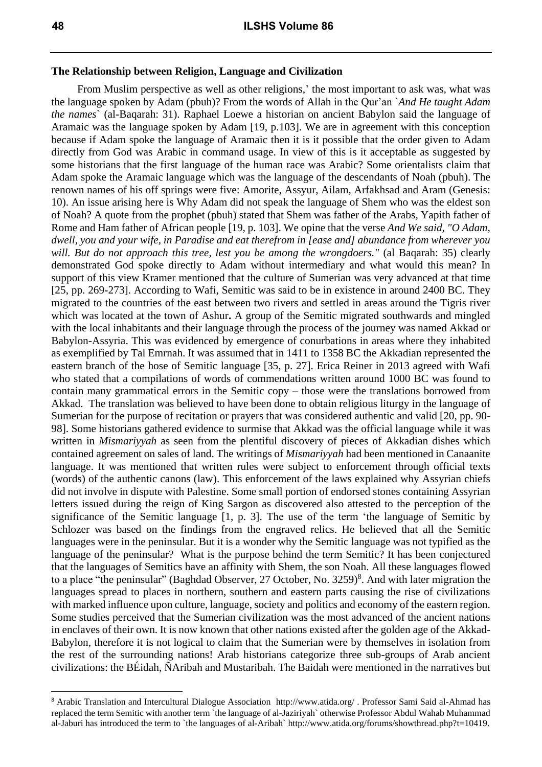$\overline{\phantom{a}}$ 

#### **The Relationship between Religion, Language and Civilization**

From Muslim perspective as well as other religions,' the most important to ask was, what was the language spoken by Adam (pbuh)? From the words of Allah in the Qur'an `*And He taught Adam the names*` (al-Baqarah: 31). Raphael Loewe a historian on ancient Babylon said the language of Aramaic was the language spoken by Adam [19, p.103]. We are in agreement with this conception because if Adam spoke the language of Aramaic then it is it possible that the order given to Adam directly from God was Arabic in command usage. In view of this is it acceptable as suggested by some historians that the first language of the human race was Arabic? Some orientalists claim that Adam spoke the Aramaic language which was the language of the descendants of Noah (pbuh). The renown names of his off springs were five: Amorite, Assyur, Ailam, Arfakhsad and Aram (Genesis: 10). An issue arising here is Why Adam did not speak the language of Shem who was the eldest son of Noah? A quote from the prophet (pbuh) stated that Shem was father of the Arabs, Yapith father of Rome and Ham father of African people [19, p. 103]. We opine that the verse *And We said, "O Adam, dwell, you and your wife, in Paradise and eat therefrom in [ease and] abundance from wherever you will. But do not approach this tree, lest you be among the wrongdoers."* (al Baqarah: 35) clearly demonstrated God spoke directly to Adam without intermediary and what would this mean? In support of this view Kramer mentioned that the culture of Sumerian was very advanced at that time [25, pp. 269-273]. According to Wafi, Semitic was said to be in existence in around 2400 BC. They migrated to the countries of the east between two rivers and settled in areas around the Tigris river which was located at the town of Ashur**.** A group of the Semitic migrated southwards and mingled with the local inhabitants and their language through the process of the journey was named Akkad or Babylon-Assyria. This was evidenced by emergence of conurbations in areas where they inhabited as exemplified by Tal Emrnah. It was assumed that in 1411 to 1358 BC the Akkadian represented the eastern branch of the hose of Semitic language [35, p. 27]. Erica Reiner in 2013 agreed with Wafi who stated that a compilations of words of commendations written around 1000 BC was found to contain many grammatical errors in the Semitic copy – those were the translations borrowed from Akkad. The translation was believed to have been done to obtain religious liturgy in the language of Sumerian for the purpose of recitation or prayers that was considered authentic and valid [20, pp. 90- 98]. Some historians gathered evidence to surmise that Akkad was the official language while it was written in *Mismariyyah* as seen from the plentiful discovery of pieces of Akkadian dishes which contained agreement on sales of land. The writings of *Mismariyyah* had been mentioned in Canaanite language. It was mentioned that written rules were subject to enforcement through official texts (words) of the authentic canons (law). This enforcement of the laws explained why Assyrian chiefs did not involve in dispute with Palestine. Some small portion of endorsed stones containing Assyrian letters issued during the reign of King Sargon as discovered also attested to the perception of the significance of the Semitic language [1, p. 3]. The use of the term 'the language of Semitic by Schlozer was based on the findings from the engraved relics. He believed that all the Semitic languages were in the peninsular. But it is a wonder why the Semitic language was not typified as the language of the peninsular? What is the purpose behind the term Semitic? It has been conjectured that the languages of Semitics have an affinity with Shem, the son Noah. All these languages flowed to a place "the peninsular" (Baghdad Observer, 27 October, No. 3259)<sup>8</sup>. And with later migration the languages spread to places in northern, southern and eastern parts causing the rise of civilizations with marked influence upon culture, language, society and politics and economy of the eastern region. Some studies perceived that the Sumerian civilization was the most advanced of the ancient nations in enclaves of their own. It is now known that other nations existed after the golden age of the Akkad-Babylon, therefore it is not logical to claim that the Sumerian were by themselves in isolation from the rest of the surrounding nations! Arab historians categorize three sub-groups of Arab ancient civilizations: the BÉidah, ÑAribah and Mustaribah. The Baidah were mentioned in the narratives but

<sup>8</sup> Arabic Translation and Intercultural Dialogue Association http://www.atida.org/ . Professor Sami Said al-Ahmad has replaced the term Semitic with another term `the language of al-Jaziriyah` otherwise Professor Abdul Wahab Muhammad al-Jaburi has introduced the term to `the languages of al-Aribah` http://www.atida.org/forums/showthread.php?t=10419.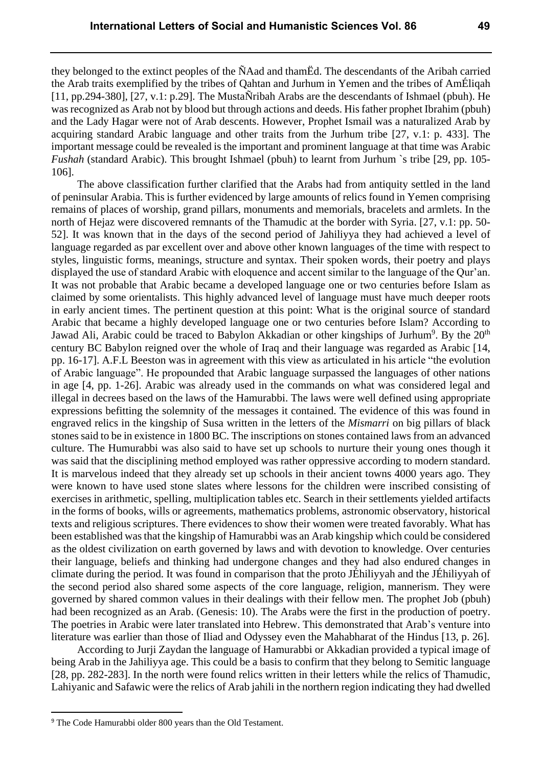they belonged to the extinct peoples of the ÑAad and thamËd. The descendants of the Aribah carried the Arab traits exemplified by the tribes of Qahtan and Jurhum in Yemen and the tribes of AmÉliqah [11, pp.294-380], [27, v.1: p.29]. The MustaÑribah Arabs are the descendants of Ishmael (pbuh). He was recognized as Arab not by blood but through actions and deeds. His father prophet Ibrahim (pbuh) and the Lady Hagar were not of Arab descents. However, Prophet Ismail was a naturalized Arab by acquiring standard Arabic language and other traits from the Jurhum tribe [27, v.1: p. 433]. The important message could be revealed is the important and prominent language at that time was Arabic *Fushah* (standard Arabic). This brought Ishmael (pbuh) to learnt from Jurhum `s tribe [29, pp. 105- 106].

The above classification further clarified that the Arabs had from antiquity settled in the land of peninsular Arabia. This is further evidenced by large amounts of relics found in Yemen comprising remains of places of worship, grand pillars, monuments and memorials, bracelets and armlets. In the north of Hejaz were discovered remnants of the Thamudic at the border with Syria. [27, v.1: pp. 50- 52]. It was known that in the days of the second period of Jahiliyya they had achieved a level of language regarded as par excellent over and above other known languages of the time with respect to styles, linguistic forms, meanings, structure and syntax. Their spoken words, their poetry and plays displayed the use of standard Arabic with eloquence and accent similar to the language of the Qur'an. It was not probable that Arabic became a developed language one or two centuries before Islam as claimed by some orientalists. This highly advanced level of language must have much deeper roots in early ancient times. The pertinent question at this point: What is the original source of standard Arabic that became a highly developed language one or two centuries before Islam? According to Jawad Ali, Arabic could be traced to Babylon Akkadian or other kingships of Jurhum<sup>9</sup>. By the 20<sup>th</sup> century BC Babylon reigned over the whole of Iraq and their language was regarded as Arabic [14, pp. 16-17]. A.F.L Beeston was in agreement with this view as articulated in his article "the evolution of Arabic language". He propounded that Arabic language surpassed the languages of other nations in age [4, pp. 1-26]. Arabic was already used in the commands on what was considered legal and illegal in decrees based on the laws of the Hamurabbi. The laws were well defined using appropriate expressions befitting the solemnity of the messages it contained. The evidence of this was found in engraved relics in the kingship of Susa written in the letters of the *Mismarri* on big pillars of black stones said to be in existence in 1800 BC. The inscriptions on stones contained laws from an advanced culture. The Humurabbi was also said to have set up schools to nurture their young ones though it was said that the disciplining method employed was rather oppressive according to modern standard. It is marvelous indeed that they already set up schools in their ancient towns 4000 years ago. They were known to have used stone slates where lessons for the children were inscribed consisting of exercises in arithmetic, spelling, multiplication tables etc. Search in their settlements yielded artifacts in the forms of books, wills or agreements, mathematics problems, astronomic observatory, historical texts and religious scriptures. There evidences to show their women were treated favorably. What has been established was that the kingship of Hamurabbi was an Arab kingship which could be considered as the oldest civilization on earth governed by laws and with devotion to knowledge. Over centuries their language, beliefs and thinking had undergone changes and they had also endured changes in climate during the period. It was found in comparison that the proto JÉhiliyyah and the JÉhiliyyah of the second period also shared some aspects of the core language, religion, mannerism. They were governed by shared common values in their dealings with their fellow men. The prophet Job (pbuh) had been recognized as an Arab. (Genesis: 10). The Arabs were the first in the production of poetry. The poetries in Arabic were later translated into Hebrew. This demonstrated that Arab's venture into literature was earlier than those of Iliad and Odyssey even the Mahabharat of the Hindus [13, p. 26].

According to Jurji Zaydan the language of Hamurabbi or Akkadian provided a typical image of being Arab in the Jahiliyya age. This could be a basis to confirm that they belong to Semitic language [28, pp. 282-283]. In the north were found relics written in their letters while the relics of Thamudic, Lahiyanic and Safawic were the relics of Arab jahili in the northern region indicating they had dwelled

 $\overline{\phantom{a}}$ 

<sup>9</sup> The Code Hamurabbi older 800 years than the Old Testament.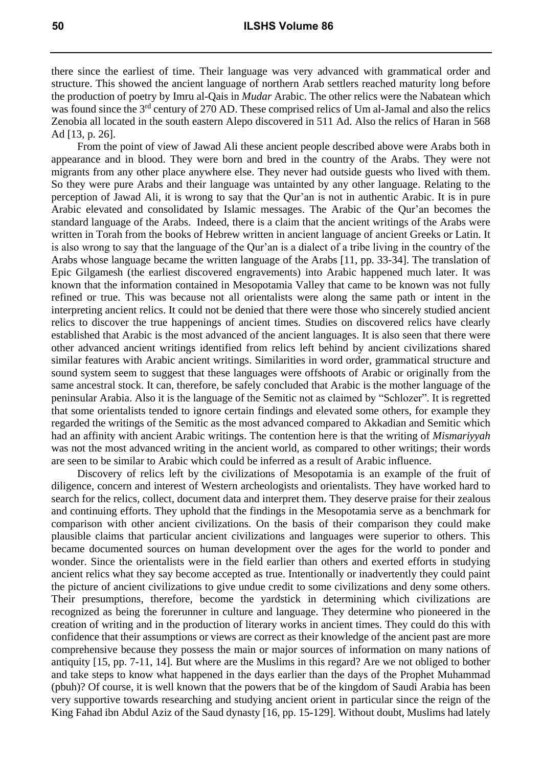there since the earliest of time. Their language was very advanced with grammatical order and structure. This showed the ancient language of northern Arab settlers reached maturity long before the production of poetry by Imru al-Qais in *Mudar* Arabic. The other relics were the Nabatean which was found since the 3<sup>rd</sup> century of 270 AD. These comprised relics of Um al-Jamal and also the relics Zenobia all located in the south eastern Alepo discovered in 511 Ad. Also the relics of Haran in 568 Ad [13, p. 26].

From the point of view of Jawad Ali these ancient people described above were Arabs both in appearance and in blood. They were born and bred in the country of the Arabs. They were not migrants from any other place anywhere else. They never had outside guests who lived with them. So they were pure Arabs and their language was untainted by any other language. Relating to the perception of Jawad Ali, it is wrong to say that the Qur'an is not in authentic Arabic. It is in pure Arabic elevated and consolidated by Islamic messages. The Arabic of the Qur'an becomes the standard language of the Arabs. Indeed, there is a claim that the ancient writings of the Arabs were written in Torah from the books of Hebrew written in ancient language of ancient Greeks or Latin. It is also wrong to say that the language of the Qur'an is a dialect of a tribe living in the country of the Arabs whose language became the written language of the Arabs [11, pp. 33-34]. The translation of Epic Gilgamesh (the earliest discovered engravements) into Arabic happened much later. It was known that the information contained in Mesopotamia Valley that came to be known was not fully refined or true. This was because not all orientalists were along the same path or intent in the interpreting ancient relics. It could not be denied that there were those who sincerely studied ancient relics to discover the true happenings of ancient times. Studies on discovered relics have clearly established that Arabic is the most advanced of the ancient languages. It is also seen that there were other advanced ancient writings identified from relics left behind by ancient civilizations shared similar features with Arabic ancient writings. Similarities in word order, grammatical structure and sound system seem to suggest that these languages were offshoots of Arabic or originally from the same ancestral stock. It can, therefore, be safely concluded that Arabic is the mother language of the peninsular Arabia. Also it is the language of the Semitic not as claimed by "Schlozer". It is regretted that some orientalists tended to ignore certain findings and elevated some others, for example they regarded the writings of the Semitic as the most advanced compared to Akkadian and Semitic which had an affinity with ancient Arabic writings. The contention here is that the writing of *Mismariyyah* was not the most advanced writing in the ancient world, as compared to other writings; their words are seen to be similar to Arabic which could be inferred as a result of Arabic influence.

Discovery of relics left by the civilizations of Mesopotamia is an example of the fruit of diligence, concern and interest of Western archeologists and orientalists. They have worked hard to search for the relics, collect, document data and interpret them. They deserve praise for their zealous and continuing efforts. They uphold that the findings in the Mesopotamia serve as a benchmark for comparison with other ancient civilizations. On the basis of their comparison they could make plausible claims that particular ancient civilizations and languages were superior to others. This became documented sources on human development over the ages for the world to ponder and wonder. Since the orientalists were in the field earlier than others and exerted efforts in studying ancient relics what they say become accepted as true. Intentionally or inadvertently they could paint the picture of ancient civilizations to give undue credit to some civilizations and deny some others. Their presumptions, therefore, become the yardstick in determining which civilizations are recognized as being the forerunner in culture and language. They determine who pioneered in the creation of writing and in the production of literary works in ancient times. They could do this with confidence that their assumptions or views are correct as their knowledge of the ancient past are more comprehensive because they possess the main or major sources of information on many nations of antiquity [15, pp. 7-11, 14]. But where are the Muslims in this regard? Are we not obliged to bother and take steps to know what happened in the days earlier than the days of the Prophet Muhammad (pbuh)? Of course, it is well known that the powers that be of the kingdom of Saudi Arabia has been very supportive towards researching and studying ancient orient in particular since the reign of the King Fahad ibn Abdul Aziz of the Saud dynasty [16, pp. 15-129]. Without doubt, Muslims had lately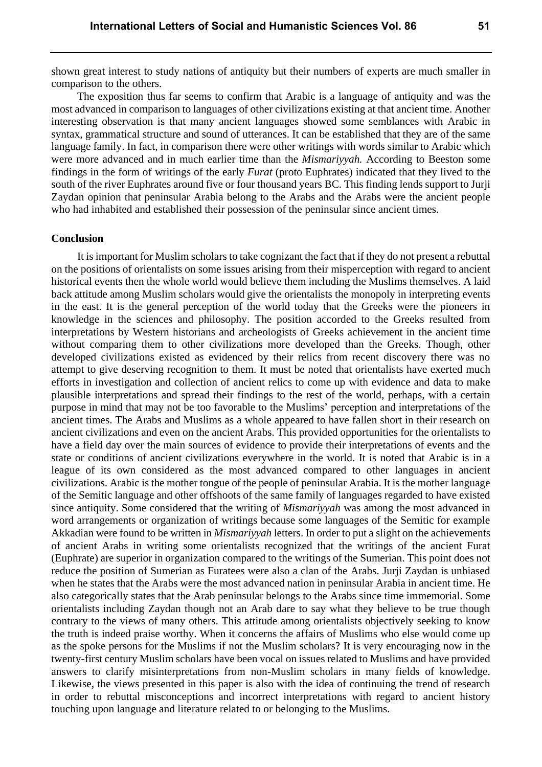shown great interest to study nations of antiquity but their numbers of experts are much smaller in comparison to the others.

The exposition thus far seems to confirm that Arabic is a language of antiquity and was the most advanced in comparison to languages of other civilizations existing at that ancient time. Another interesting observation is that many ancient languages showed some semblances with Arabic in syntax, grammatical structure and sound of utterances. It can be established that they are of the same language family. In fact, in comparison there were other writings with words similar to Arabic which were more advanced and in much earlier time than the *Mismariyyah.* According to Beeston some findings in the form of writings of the early *Furat* (proto Euphrates) indicated that they lived to the south of the river Euphrates around five or four thousand years BC. This finding lends support to Jurji Zaydan opinion that peninsular Arabia belong to the Arabs and the Arabs were the ancient people who had inhabited and established their possession of the peninsular since ancient times.

#### **Conclusion**

It is important for Muslim scholars to take cognizant the fact that if they do not present a rebuttal on the positions of orientalists on some issues arising from their misperception with regard to ancient historical events then the whole world would believe them including the Muslims themselves. A laid back attitude among Muslim scholars would give the orientalists the monopoly in interpreting events in the east. It is the general perception of the world today that the Greeks were the pioneers in knowledge in the sciences and philosophy. The position accorded to the Greeks resulted from interpretations by Western historians and archeologists of Greeks achievement in the ancient time without comparing them to other civilizations more developed than the Greeks. Though, other developed civilizations existed as evidenced by their relics from recent discovery there was no attempt to give deserving recognition to them. It must be noted that orientalists have exerted much efforts in investigation and collection of ancient relics to come up with evidence and data to make plausible interpretations and spread their findings to the rest of the world, perhaps, with a certain purpose in mind that may not be too favorable to the Muslims' perception and interpretations of the ancient times. The Arabs and Muslims as a whole appeared to have fallen short in their research on ancient civilizations and even on the ancient Arabs. This provided opportunities for the orientalists to have a field day over the main sources of evidence to provide their interpretations of events and the state or conditions of ancient civilizations everywhere in the world. It is noted that Arabic is in a league of its own considered as the most advanced compared to other languages in ancient civilizations. Arabic is the mother tongue of the people of peninsular Arabia. It is the mother language of the Semitic language and other offshoots of the same family of languages regarded to have existed since antiquity. Some considered that the writing of *Mismariyyah* was among the most advanced in word arrangements or organization of writings because some languages of the Semitic for example Akkadian were found to be written in *Mismariyyah* letters. In order to put a slight on the achievements of ancient Arabs in writing some orientalists recognized that the writings of the ancient Furat (Euphrate) are superior in organization compared to the writings of the Sumerian. This point does not reduce the position of Sumerian as Furatees were also a clan of the Arabs. Jurji Zaydan is unbiased when he states that the Arabs were the most advanced nation in peninsular Arabia in ancient time. He also categorically states that the Arab peninsular belongs to the Arabs since time immemorial. Some orientalists including Zaydan though not an Arab dare to say what they believe to be true though contrary to the views of many others. This attitude among orientalists objectively seeking to know the truth is indeed praise worthy. When it concerns the affairs of Muslims who else would come up as the spoke persons for the Muslims if not the Muslim scholars? It is very encouraging now in the twenty-first century Muslim scholars have been vocal on issues related to Muslims and have provided answers to clarify misinterpretations from non-Muslim scholars in many fields of knowledge. Likewise, the views presented in this paper is also with the idea of continuing the trend of research in order to rebuttal misconceptions and incorrect interpretations with regard to ancient history touching upon language and literature related to or belonging to the Muslims.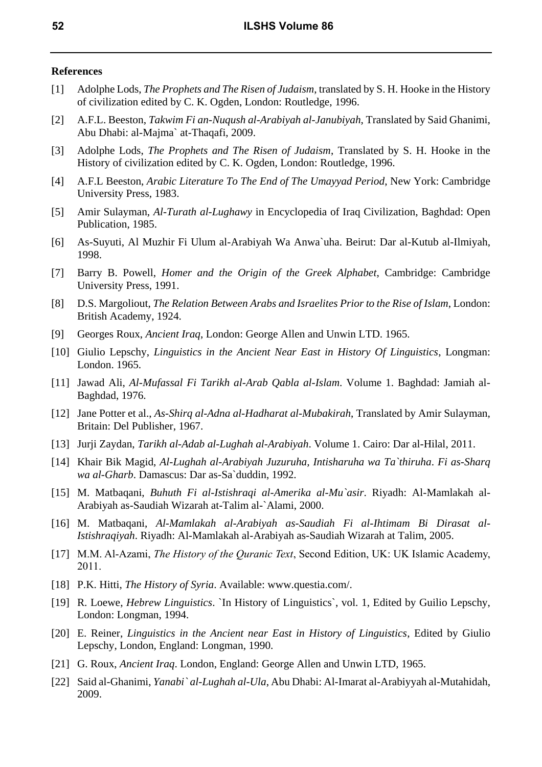#### **References**

- [1] Adolphe Lods, *The Prophets and The Risen of Judaism*, translated by S. H. Hooke in the History of civilization edited by C. K. Ogden, London: Routledge, 1996.
- [2] A.F.L. Beeston, *Takwim Fi an-Nuqush al-Arabiyah al-Janubiyah*, Translated by Said Ghanimi, Abu Dhabi: al-Majma` at-Thaqafi, 2009.
- [3] Adolphe Lods, *The Prophets and The Risen of Judaism*, Translated by S. H. Hooke in the History of civilization edited by C. K. Ogden, London: Routledge, 1996.
- [4] A.F.L Beeston, *Arabic Literature To The End of The Umayyad Period*, New York: Cambridge University Press, 1983.
- [5] Amir Sulayman, *Al-Turath al-Lughawy* in Encyclopedia of Iraq Civilization, Baghdad: Open Publication, 1985.
- [6] As-Suyuti, Al Muzhir Fi Ulum al-Arabiyah Wa Anwa`uha. Beirut: Dar al-Kutub al-Ilmiyah, 1998.
- [7] Barry B. Powell, *Homer and the Origin of the Greek Alphabet*, Cambridge: Cambridge University Press, 1991.
- [8] D.S. Margoliout, *The Relation Between Arabs and Israelites Prior to the Rise of Islam*, London: British Academy, 1924.
- [9] Georges Roux, *Ancient Iraq*, London: George Allen and Unwin LTD. 1965.
- [10] Giulio Lepschy, *Linguistics in the Ancient Near East in History Of Linguistics*, Longman: London. 1965.
- [11] Jawad Ali, *Al-Mufassal Fi Tarikh al-Arab Qabla al-Islam*. Volume 1. Baghdad: Jamiah al-Baghdad, 1976.
- [12] Jane Potter et al., *As-Shirq al-Adna al-Hadharat al-Mubakirah*, Translated by Amir Sulayman, Britain: Del Publisher, 1967.
- [13] Jurji Zaydan, *Tarikh al-Adab al-Lughah al-Arabiyah*. Volume 1. Cairo: Dar al-Hilal, 2011.
- [14] Khair Bik Magid, *Al-Lughah al-Arabiyah Juzuruha, Intisharuha wa Ta`thiruha*. *Fi as-Sharq wa al-Gharb*. Damascus: Dar as-Sa`duddin, 1992.
- [15] M. Matbaqani, *Buhuth Fi al-Istishraqi al-Amerika al-Mu`asir*. Riyadh: Al-Mamlakah al-Arabiyah as-Saudiah Wizarah at-Talim al-`Alami, 2000.
- [16] M. Matbaqani, *Al-Mamlakah al-Arabiyah as-Saudiah Fi al-Ihtimam Bi Dirasat al-Istishraqiyah*. Riyadh: Al-Mamlakah al-Arabiyah as-Saudiah Wizarah at Talim, 2005.
- [17] M.M. Al-Azami, *The History of the Quranic Text*, Second Edition, UK: UK Islamic Academy, 2011.
- [18] P.K. Hitti, *The History of Syria*. Available: www.questia.com/.
- [19] R. Loewe, *Hebrew Linguistics*. `In History of Linguistics`, vol. 1, Edited by Guilio Lepschy, London: Longman, 1994.
- [20] E. Reiner, *Linguistics in the Ancient near East in History of Linguistics*, Edited by Giulio Lepschy, London, England: Longman, 1990.
- [21] G. Roux, *Ancient Iraq*. London, England: George Allen and Unwin LTD, 1965.
- [22] Said al-Ghanimi, *Yanabi` al-Lughah al-Ula*, Abu Dhabi: Al-Imarat al-Arabiyyah al-Mutahidah, 2009.